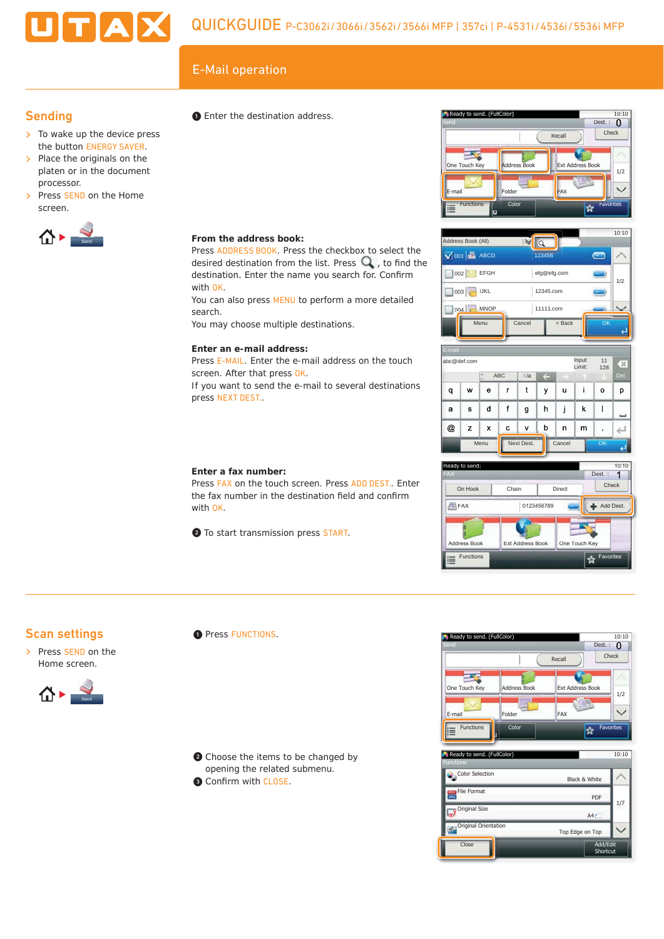# $E$ -Mail operation<br>  $\bullet$  Enter the destination address  $\bullet$  Ready to send. (FullColor)

**From the address book:**

**Enter an e-mail address:**

screen. After that press OK.

press NEXT DEST..

**Enter a fax number:**

with OK.

with OK.

search.

Press ADDRESS BOOK. Press the checkbox to select the desired destination from the list. Press  $\mathbf Q$ , to find the destination. Enter the name you search for. Confirm

You can also press MENU to perform a more detailed

Press E-MAIL. Enter the e-mail address on the touch

If you want to send the e-mail to several destinations

Press FAX on the touch screen. Press ADD DEST.. Enter the fax number in the destination field and confirm

You may choose multiple destinations.

❷ To start transmission press START.

# **Sending**

 $\triangleright$  To wake up the device press the button ENERGY SAVER.

UTAX

- > Place the originals on the platen or in the document processor.
- > Press SEND on the Home screen.



❶ Enter the destination address.









### Scan settings

> Press SEND on the Home screen.



**O** Press FUNCTIONS.

❷ Choose the items to be changed by opening the related submenu. **B** Confirm with CLOSE.



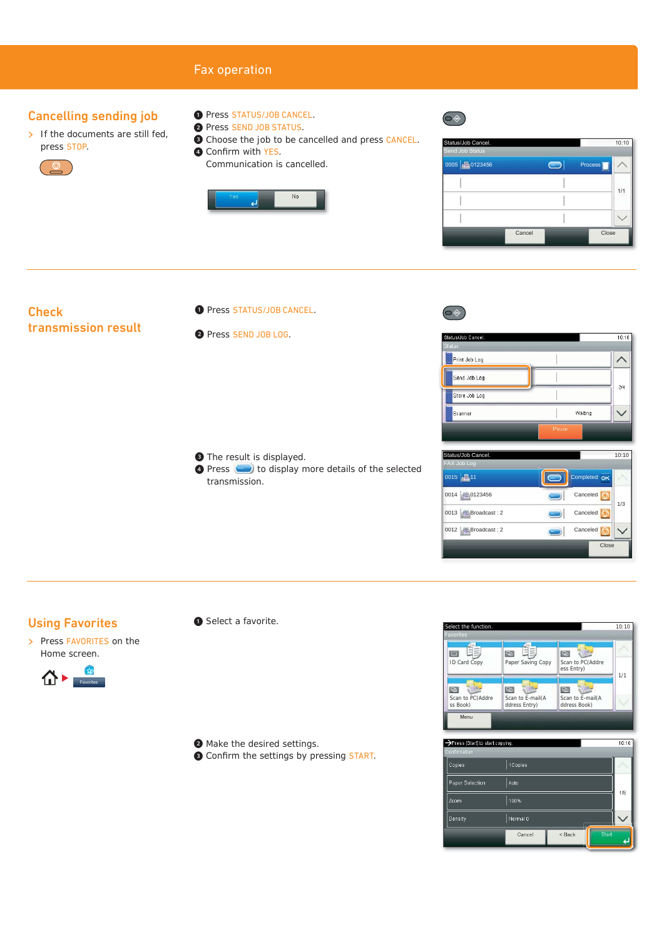# Fax operation

# Cancelling sending job

- $\triangleright$  If the documents are still fed, press STOP.
	-
- ❶ Press STATUS/JOB CANCEL.
- ❷ Press SEND JOB STATUS.
- ❸ Choose the job to be cancelled and press CANCEL.
- **4 Confirm with YES.** Communication is cancelled.



| Status/Job Cancel.<br>Send Job Status |        |         | 10:10 |  |
|---------------------------------------|--------|---------|-------|--|
| 0005 20123456                         |        | Process |       |  |
|                                       |        |         | 1/1   |  |
|                                       |        |         |       |  |
|                                       |        |         |       |  |
|                                       | Cancel | Close   |       |  |

# **Check** transmission result

- O Press STATUS/JOB CANCEL.
- ❷ Press SEND JOB LOG.

❸ The result is displayed. **O** Press **to display more details of the selected** transmission.



 $\circledcirc$ 



| Status/Job Cancel. | 10:10           |
|--------------------|-----------------|
| <b>FAX Job Log</b> |                 |
| 0015 11            | Completed OK    |
| 0014 0123456       | Canceled<br>1/3 |
| 0013 Broadcast: 2  | Canceled        |
| 0012 Broadcast: 2  | Canceled        |
|                    | Close           |

# Using Favorites

> Press FAVORITES on the Home screen.



❶ Select a favorite.

❷ Make the desired settings.

<sup>O</sup> Confirm the settings by pressing START.



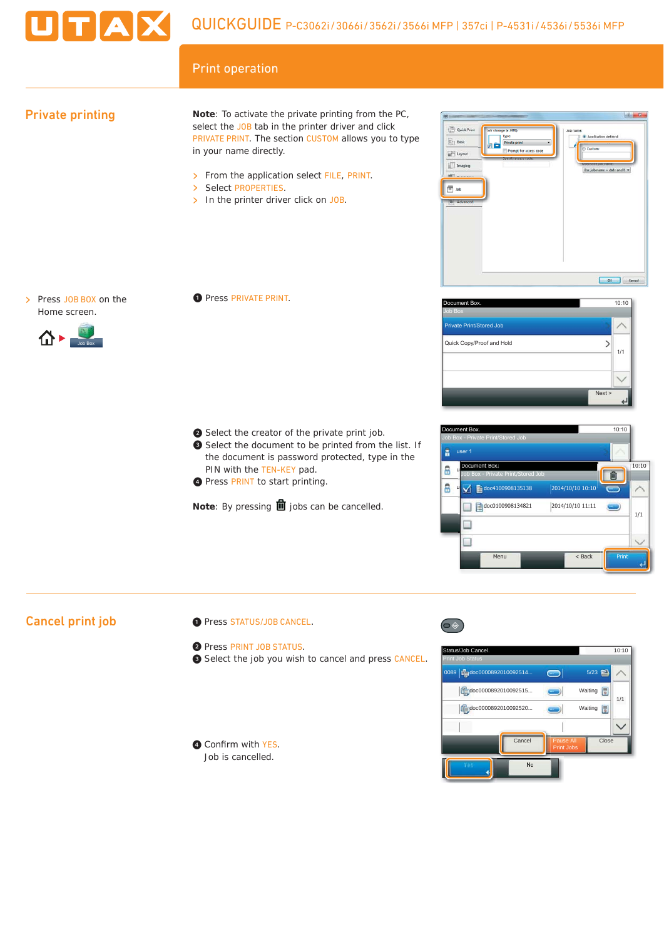

# Print operation

# Private printing

**Note**: To activate the private printing from the PC, select the JOB tab in the printer driver and click PRIVATE PRINT. The section CUSTOM allows you to type in your name directly.

- > From the application select FILE, PRINT.<br>> Select PROPERTIES.
- Select PROPERTIES.
- $\triangleright$  In the printer driver click on JOB.



> Press JOB BOX on the Home screen.



❶ Press PRIVATE PRINT.

- ❷ Select the creator of the private print job.
- ❸ Select the document to be printed from the list. If the document is password protected, type in the PIN with the TEN-KEY pad. O Select the creator of the private print job.<br>
O Select the document to be printed from the list. If<br>
the document is password protected, type in the<br>
PIN with the TEN-KEY pad.<br>
O Press PRINT to start printing.
	- **O** Press PRINT to start printing.

**Note:** By pressing **ii** jobs can be cancelled.





# Cancel print job

- ❶ Press STATUS/JOB CANCEL.
- ❷ Press PRINT JOB STATUS.
- ❸ Select the job you wish to cancel and press CANCEL.